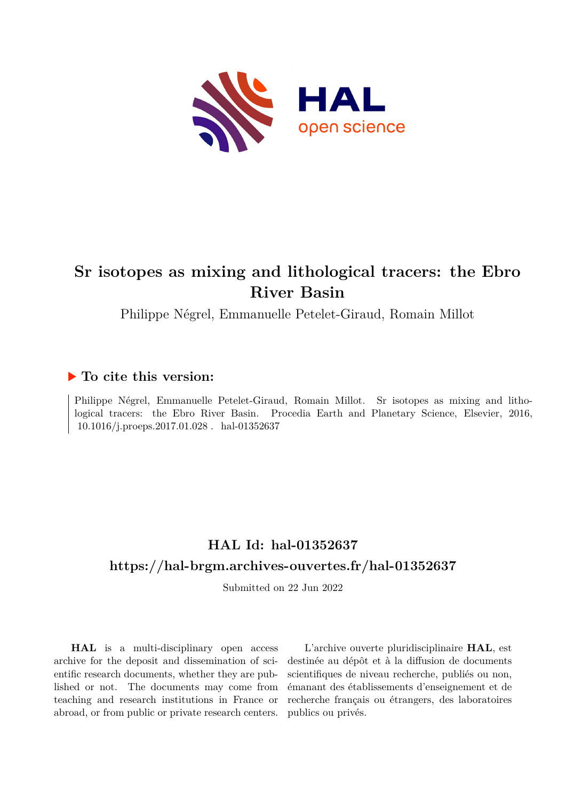

# **Sr isotopes as mixing and lithological tracers: the Ebro River Basin**

Philippe Négrel, Emmanuelle Petelet-Giraud, Romain Millot

### **To cite this version:**

Philippe Négrel, Emmanuelle Petelet-Giraud, Romain Millot. Sr isotopes as mixing and lithological tracers: the Ebro River Basin. Procedia Earth and Planetary Science, Elsevier, 2016,  $10.1016/j.\mbox{process}.2017.01.028$  .  $\mbox{ hal-01352637}$ 

# **HAL Id: hal-01352637 <https://hal-brgm.archives-ouvertes.fr/hal-01352637>**

Submitted on 22 Jun 2022

**HAL** is a multi-disciplinary open access archive for the deposit and dissemination of scientific research documents, whether they are published or not. The documents may come from teaching and research institutions in France or abroad, or from public or private research centers.

L'archive ouverte pluridisciplinaire **HAL**, est destinée au dépôt et à la diffusion de documents scientifiques de niveau recherche, publiés ou non, émanant des établissements d'enseignement et de recherche français ou étrangers, des laboratoires publics ou privés.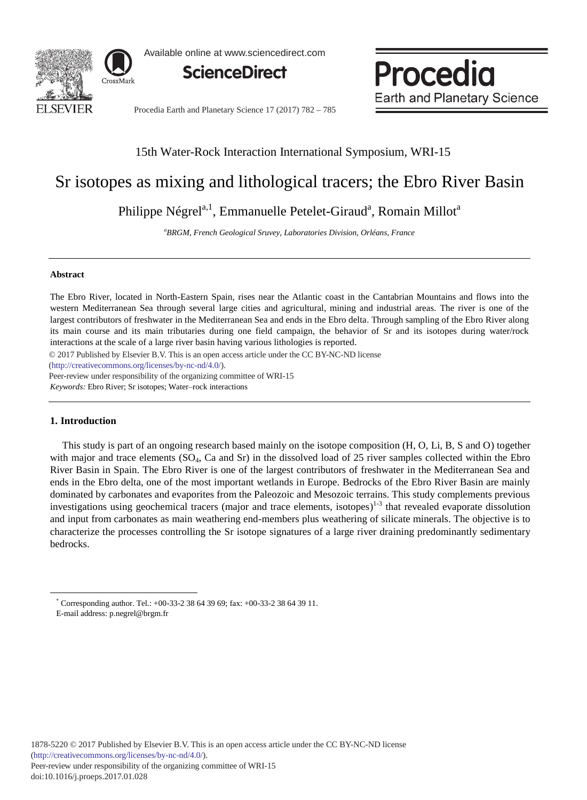

Available online at www.sciencedirect.com

**ScienceDirect**

Procedia **Earth and Planetary Science** 

Procedia Earth and Planetary Science 17 (2017) 782 - 785

### 15th Water-Rock Interaction International Symposium, WRI-15

## Sr isotopes as mixing and lithological tracers; the Ebro River Basin

Philippe Négrel<sup>a, 1</sup>, Emmanuelle Petelet-Giraud<sup>a</sup>, Romain Millot<sup>a</sup>

*a BRGM, French Geological Sruvey, Laboratories Division, Orléans, France*

#### **Abstract**

The Ebro River, located in North-Eastern Spain, rises near the Atlantic coast in the Cantabrian Mountains and flows into the western Mediterranean Sea through several large cities and agricultural, mining and industrial areas. The river is one of the largest contributors of freshwater in the Mediterranean Sea and ends in the Ebro delta. Through sampling of the Ebro River along its main course and its main tributaries during one field campaign, the behavior of Sr and its isotopes during water/rock interactions at the scale of a large river basin having various lithologies is reported.

© 2017 Published by Elsevier B.V. This is an open access article under the CC BY-NC-ND license

(http://creativecommons.org/licenses/by-nc-nd/4.0/).

*Keywords:* Ebro River; Sr isotopes; Water–rock interactions Peer-review under responsibility of the organizing committee of WRI-15

#### **1. Introduction**

-

This study is part of an ongoing research based mainly on the isotope composition (H, O, Li, B, S and O) together with major and trace elements (SO<sub>4</sub>, Ca and Sr) in the dissolved load of 25 river samples collected within the Ebro River Basin in Spain. The Ebro River is one of the largest contributors of freshwater in the Mediterranean Sea and ends in the Ebro delta, one of the most important wetlands in Europe. Bedrocks of the Ebro River Basin are mainly dominated by carbonates and evaporites from the Paleozoic and Mesozoic terrains. This study complements previous investigations using geochemical tracers (major and trace elements, isotopes)<sup>1-3</sup> that revealed evaporate dissolution and input from carbonates as main weathering end-members plus weathering of silicate minerals. The objective is to characterize the processes controlling the Sr isotope signatures of a large river draining predominantly sedimentary bedrocks.

Corresponding author. Tel.: +00-33-2 38 64 39 69; fax: +00-33-2 38 64 39 11. E-mail address: p.negrel@brgm.fr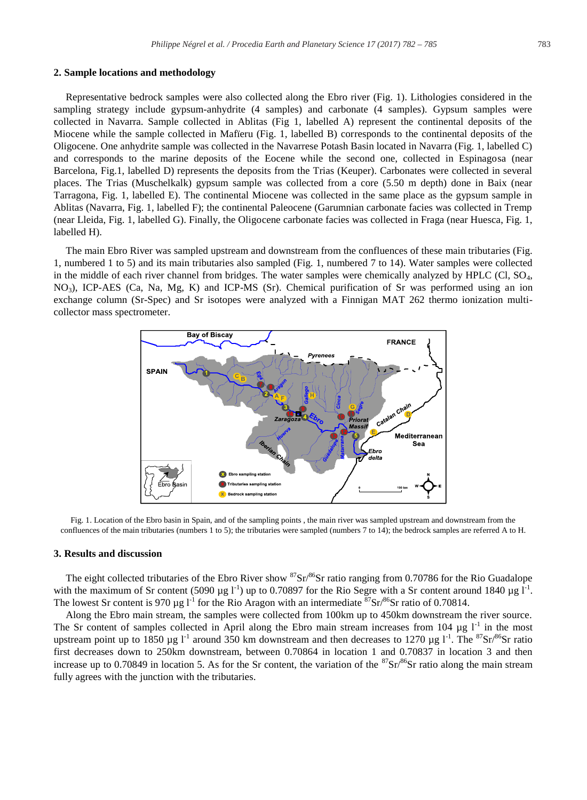#### **2. Sample locations and methodology**

Representative bedrock samples were also collected along the Ebro river (Fig. 1). Lithologies considered in the sampling strategy include gypsum-anhydrite (4 samples) and carbonate (4 samples). Gypsum samples were collected in Navarra. Sample collected in Ablitas (Fig 1, labelled A) represent the continental deposits of the Miocene while the sample collected in Mafïeru (Fig. 1, labelled B) corresponds to the continental deposits of the Oligocene. One anhydrite sample was collected in the Navarrese Potash Basin located in Navarra (Fig. 1, labelled C) and corresponds to the marine deposits of the Eocene while the second one, collected in Espinagosa (near Barcelona, Fig.1, labelled D) represents the deposits from the Trias (Keuper). Carbonates were collected in several places. The Trias (Muschelkalk) gypsum sample was collected from a core (5.50 m depth) done in Baix (near Tarragona, Fig. 1, labelled E). The continental Miocene was collected in the same place as the gypsum sample in Ablitas (Navarra, Fig. 1, labelled F); the continental Paleocene (Garumnian carbonate facies was collected in Tremp (near Lleida, Fig. 1, labelled G). Finally, the Oligocene carbonate facies was collected in Fraga (near Huesca, Fig. 1, labelled H).

The main Ebro River was sampled upstream and downstream from the confluences of these main tributaries (Fig. 1, numbered 1 to 5) and its main tributaries also sampled (Fig. 1, numbered 7 to 14). Water samples were collected in the middle of each river channel from bridges. The water samples were chemically analyzed by HPLC (Cl, SO4, NO3), ICP-AES (Ca, Na, Mg, K) and ICP-MS (Sr). Chemical purification of Sr was performed using an ion exchange column (Sr-Spec) and Sr isotopes were analyzed with a Finnigan MAT 262 thermo ionization multicollector mass spectrometer.



Fig. 1. Location of the Ebro basin in Spain, and of the sampling points , the main river was sampled upstream and downstream from the confluences of the main tributaries (numbers 1 to 5); the tributaries were sampled (numbers 7 to 14); the bedrock samples are referred A to H.

#### **3. Results and discussion**

The eight collected tributaries of the Ebro River show  ${}^{87}Sr/{}^{86}Sr$  ratio ranging from 0.70786 for the Rio Guadalope with the maximum of Sr content (5090 µg  $I<sup>-1</sup>$ ) up to 0.70897 for the Rio Segre with a Sr content around 1840 µg  $I<sup>-1</sup>$ . The lowest Sr content is 970 µg  $1^{-1}$  for the Rio Aragon with an intermediate  $\frac{87}{3}$ Sr/ $8^{6}$ Sr ratio of 0.70814.

Along the Ebro main stream, the samples were collected from 100km up to 450km downstream the river source. The Sr content of samples collected in April along the Ebro main stream increases from 104  $\mu$ g l<sup>-1</sup> in the most upstream point up to 1850 µg  $I^1$  around 350 km downstream and then decreases to 1270 µg  $I^1$ . The <sup>87</sup>Sr/<sup>86</sup>Sr ratio first decreases down to 250km downstream, between 0.70864 in location 1 and 0.70837 in location 3 and then increase up to 0.70849 in location 5. As for the Sr content, the variation of the  ${}^{87}Sr/{}^{86}Sr$  ratio along the main stream fully agrees with the junction with the tributaries.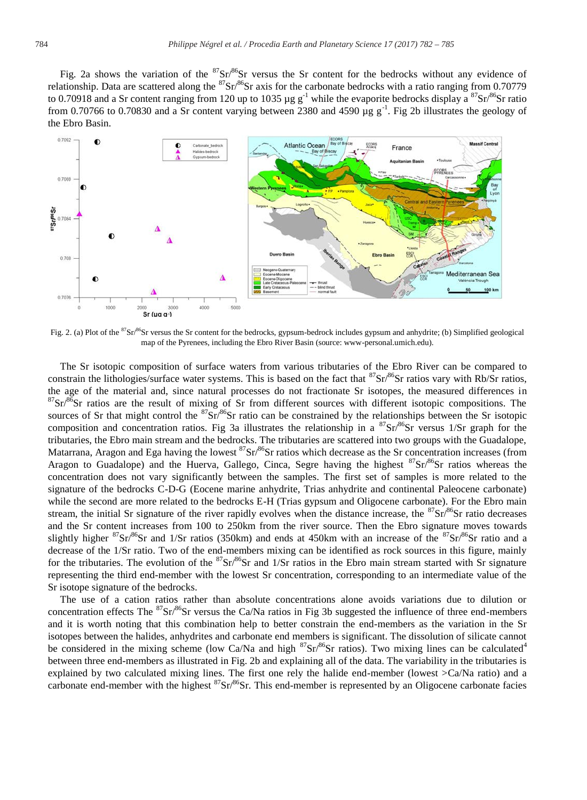Fig. 2a shows the variation of the  ${}^{87}Sr/{}^{86}Sr$  versus the Sr content for the bedrocks without any evidence of relationship. Data are scattered along the <sup>87</sup>Sr<sup>86</sup>Sr axis for the carbonate bedrocks with a ratio ranging from 0.70779 to 0.70918 and a Sr content ranging from 120 up to 1035  $\mu$ g g<sup>-1</sup> while the evaporite bedrocks display a  ${}^{87}Sr/{}^{86}Sr$  ratio from 0.70766 to 0.70830 and a Sr content varying between 2380 and 4590  $\mu$ g g<sup>-1</sup>. Fig 2b illustrates the geology of the Ebro Basin.



Fig. 2. (a) Plot of the <sup>87</sup>Sr/<sup>86</sup>Sr versus the Sr content for the bedrocks, gypsum-bedrock includes gypsum and anhydrite; (b) Simplified geological map of the Pyrenees, including the Ebro River Basin (source: www-personal.umich.edu).

The Sr isotopic composition of surface waters from various tributaries of the Ebro River can be compared to constrain the lithologies/surface water systems. This is based on the fact that  ${}^{87}Sr/{}^{86}Sr$  ratios vary with Rb/Sr ratios, the age of the material and, since natural processes do not fractionate Sr isotopes, the measu  ${}^{87}Sr$ <sup>86</sup>Sr ratios are the result of mixing of Sr from different sources with different isotopic compositions. The sources of Sr that might control the  ${}^{87}Sr/{}^{86}Sr$  ratio can be constrained by the relationships between the Sr isotopic composition and concentration ratios. Fig 3a illustrates the relationship in a  ${}^{87}Sr/{}^{86}Sr$  versus 1/Sr graph for the tributaries, the Ebro main stream and the bedrocks. The tributaries are scattered into two groups with the Guadalope, Matarrana, Aragon and Ega having the lowest  ${}^{87}Sr/{}^{86}Sr$  ratios which decrease as the Sr concentration increases (from Aragon to Guadalope) and the Huerva, Gallego, Cinca, Segre having the highest  $87$ Sr/ $86$ Sr ratios whereas the concentration does not vary significantly between the samples. The first set of samples is more related to the signature of the bedrocks C-D-G (Eocene marine anhydrite, Trias anhydrite and continental Paleocene carbonate) while the second are more related to the bedrocks E-H (Trias gypsum and Oligocene carbonate). For the Ebro main stream, the initial Sr signature of the river rapidly evolves when the distance increase, the  ${}^{87}Sr/{}^{86}Sr$  ratio decreases and the Sr content increases from 100 to 250km from the river source. Then the Ebro signature moves towards slightly higher  ${}^{87}Sr/{}^{86}Sr$  and 1/Sr ratios (350km) and ends at 450km with an increase of the  ${}^{87}Sr/{}^{86}Sr$  ratio and a decrease of the 1/Sr ratio. Two of the end-members mixing can be identified as rock sources in this figure, mainly for the tributaries. The evolution of the  ${}^{87}Sr/{}^{86}Sr$  and  $1/Sr$  ratios in the Ebro main stream started with Sr signature representing the third end-member with the lowest Sr concentration, corresponding to an intermediate value of the Sr isotope signature of the bedrocks.

The use of a cation ratios rather than absolute concentrations alone avoids variations due to dilution or concentration effects The  ${}^{87}Sr/{}^{86}Sr$  versus the Ca/Na ratios in Fig 3b suggested the influence of three end-members and it is worth noting that this combination help to better constrain the end-members as the variation in the Sr isotopes between the halides, anhydrites and carbonate end members is significant. The dissolution of silicate cannot be considered in the mixing scheme (low Ca/Na and high  ${}^{87}Sr/{}^{86}Sr$  ratios). Two mixing lines can be calculated<sup>4</sup> between three end-members as illustrated in Fig. 2b and explaining all of the data. The variability in the tributaries is explained by two calculated mixing lines. The first one rely the halide end-member (lowest >Ca/Na ratio) and a carbonate end-member with the highest  ${}^{87}Sr/{}^{86}Sr$ . This end-member is represented by an Oligocene carbonate facies